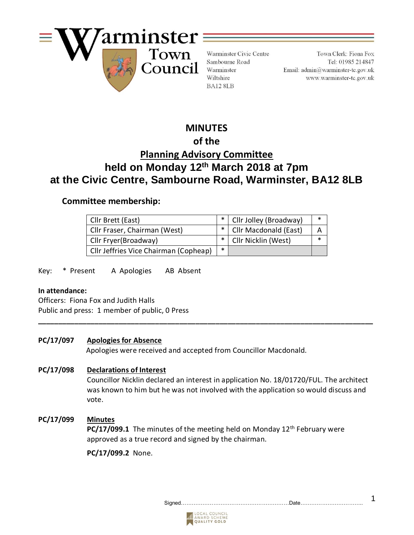

Warminster Civic Centre Sambourne Road Warminster Wiltshire BA12 8LB

Town Clerk: Fiona Fox Tel: 01985 214847 Email: admin@warminster-tc.gov.uk www.warminster-tc.gov.uk

# **MINUTES**

# **of the**

# **Planning Advisory Committee held on Monday 12th March 2018 at 7pm at the Civic Centre, Sambourne Road, Warminster, BA12 8LB**

## **Committee membership:**

| Cllr Brett (East)                     |        | *   Cllr Jolley (Broadway) | ∗      |
|---------------------------------------|--------|----------------------------|--------|
| Cllr Fraser, Chairman (West)          |        | *   Cllr Macdonald (East)  |        |
| Cllr Fryer(Broadway)                  |        | *   Cllr Nicklin (West)    | $\ast$ |
| Cllr Jeffries Vice Chairman (Copheap) | $\ast$ |                            |        |

Key: \* Present A Apologies AB Absent

#### **In attendance:**

Officers:Fiona Fox and Judith Halls Public and press: 1 member of public, 0 Press

## **PC/17/097 Apologies for Absence**

Apologies were received and accepted from Councillor Macdonald.

**\_\_\_\_\_\_\_\_\_\_\_\_\_\_\_\_\_\_\_\_\_\_\_\_\_\_\_\_\_\_\_\_\_\_\_\_\_\_\_\_\_\_\_\_\_\_\_\_\_\_\_\_\_\_\_\_\_\_\_\_\_\_\_\_\_\_\_\_\_\_\_\_\_\_\_\_\_\_\_\_\_\_\_**

## **PC/17/098 Declarations of Interest**

Councillor Nicklin declared an interest in application No. 18/01720/FUL. The architect was known to him but he was not involved with the application so would discuss and vote.

## **PC/17/099 Minutes**

**PC/17/099.1** The minutes of the meeting held on Monday 12<sup>th</sup> February were approved as a true record and signed by the chairman.

**PC/17/099.2** None.

Signed……………………………………………………Date…………………………….. 1

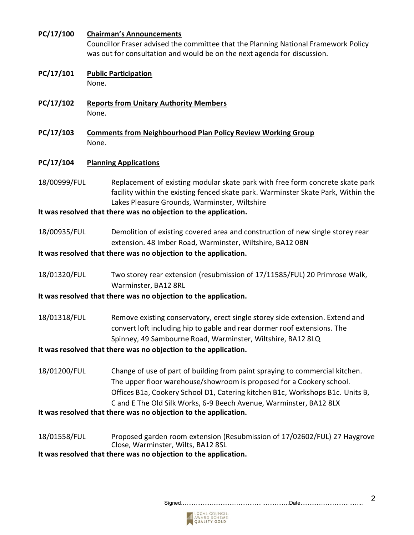#### **PC/17/100 Chairman's Announcements**

Councillor Fraser advised the committee that the Planning National Framework Policy was out for consultation and would be on the next agenda for discussion.

#### **PC/17/101 Public Participation** None.

- **PC/17/102 Reports from Unitary Authority Members** None.
- **PC/17/103 Comments from Neighbourhood Plan Policy Review Working Group** None.

#### **PC/17/104 Planning Applications**

18/00999/FUL Replacement of existing modular skate park with free form concrete skate park facility within the existing fenced skate park. Warminster Skate Park, Within the Lakes Pleasure Grounds, Warminster, Wiltshire

#### **It was resolved that there was no objection to the application.**

18/00935/FUL Demolition of existing covered area and construction of new single storey rear extension. 48 Imber Road, Warminster, Wiltshire, BA12 0BN

#### **It was resolved that there was no objection to the application.**

18/01320/FUL Two storey rear extension (resubmission of 17/11585/FUL) 20 Primrose Walk, Warminster, BA12 8RL

#### **It was resolved that there was no objection to the application.**

18/01318/FUL Remove existing conservatory, erect single storey side extension. Extend and convert loft including hip to gable and rear dormer roof extensions. The Spinney, 49 Sambourne Road, Warminster, Wiltshire, BA12 8LQ

#### **It was resolved that there was no objection to the application.**

18/01200/FUL Change of use of part of building from paint spraying to commercial kitchen. The upper floor warehouse/showroom is proposed for a Cookery school. Offices B1a, Cookery School D1, Catering kitchen B1c, Workshops B1c. Units B, C and E The Old Silk Works, 6-9 Beech Avenue, Warminster, BA12 8LX

**It was resolved that there was no objection to the application.**

18/01558/FUL Proposed garden room extension (Resubmission of 17/02602/FUL) 27 Haygrove Close, Warminster, Wilts, BA12 8SL

**It was resolved that there was no objection to the application.**

## Signed……………………………………………………Date…………………………….. 2